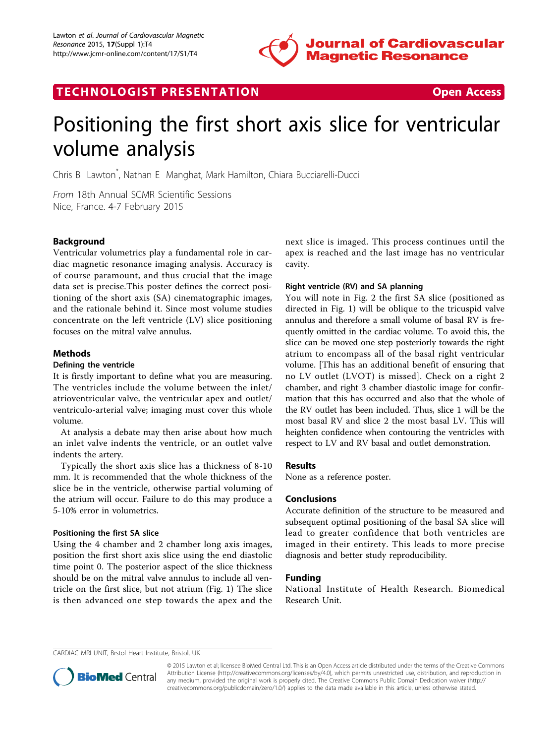

TECHNOLOGIST PRESENTATION **TECHNOLOGIST** PRESENTATION



# Positioning the first short axis slice for ventricular volume analysis

Chris B Lawton\* , Nathan E Manghat, Mark Hamilton, Chiara Bucciarelli-Ducci

From 18th Annual SCMR Scientific Sessions Nice, France. 4-7 February 2015

## Background

Ventricular volumetrics play a fundamental role in cardiac magnetic resonance imaging analysis. Accuracy is of course paramount, and thus crucial that the image data set is precise.This poster defines the correct positioning of the short axis (SA) cinematographic images, and the rationale behind it. Since most volume studies concentrate on the left ventricle (LV) slice positioning focuses on the mitral valve annulus.

## Methods

#### Defining the ventricle

It is firstly important to define what you are measuring. The ventricles include the volume between the inlet/ atrioventricular valve, the ventricular apex and outlet/ ventriculo-arterial valve; imaging must cover this whole volume.

At analysis a debate may then arise about how much an inlet valve indents the ventricle, or an outlet valve indents the artery.

Typically the short axis slice has a thickness of 8-10 mm. It is recommended that the whole thickness of the slice be in the ventricle, otherwise partial voluming of the atrium will occur. Failure to do this may produce a 5-10% error in volumetrics.

#### Positioning the first SA slice

Using the 4 chamber and 2 chamber long axis images, position the first short axis slice using the end diastolic time point 0. The posterior aspect of the slice thickness should be on the mitral valve annulus to include all ventricle on the first slice, but not atrium (Fig. [1](#page-1-0)) The slice is then advanced one step towards the apex and the next slice is imaged. This process continues until the apex is reached and the last image has no ventricular cavity.

## Right ventricle (RV) and SA planning

You will note in Fig. [2](#page-1-0) the first SA slice (positioned as directed in Fig. [1\)](#page-1-0) will be oblique to the tricuspid valve annulus and therefore a small volume of basal RV is frequently omitted in the cardiac volume. To avoid this, the slice can be moved one step posteriorly towards the right atrium to encompass all of the basal right ventricular volume. [This has an additional benefit of ensuring that no LV outlet (LVOT) is missed]. Check on a right 2 chamber, and right 3 chamber diastolic image for confirmation that this has occurred and also that the whole of the RV outlet has been included. Thus, slice 1 will be the most basal RV and slice 2 the most basal LV. This will heighten confidence when contouring the ventricles with respect to LV and RV basal and outlet demonstration.

#### Results

None as a reference poster.

## Conclusions

Accurate definition of the structure to be measured and subsequent optimal positioning of the basal SA slice will lead to greater confidence that both ventricles are imaged in their entirety. This leads to more precise diagnosis and better study reproducibility.

## Funding

National Institute of Health Research. Biomedical Research Unit.

CARDIAC MRI UNIT, Brstol Heart Institute, Bristol, UK



© 2015 Lawton et al; licensee BioMed Central Ltd. This is an Open Access article distributed under the terms of the Creative Commons Attribution License [\(http://creativecommons.org/licenses/by/4.0](http://creativecommons.org/licenses/by/4.0)), which permits unrestricted use, distribution, and reproduction in any medium, provided the original work is properly cited. The Creative Commons Public Domain Dedication waiver [\(http://](http://creativecommons.org/publicdomain/zero/1.0/) [creativecommons.org/publicdomain/zero/1.0/](http://creativecommons.org/publicdomain/zero/1.0/)) applies to the data made available in this article, unless otherwise stated.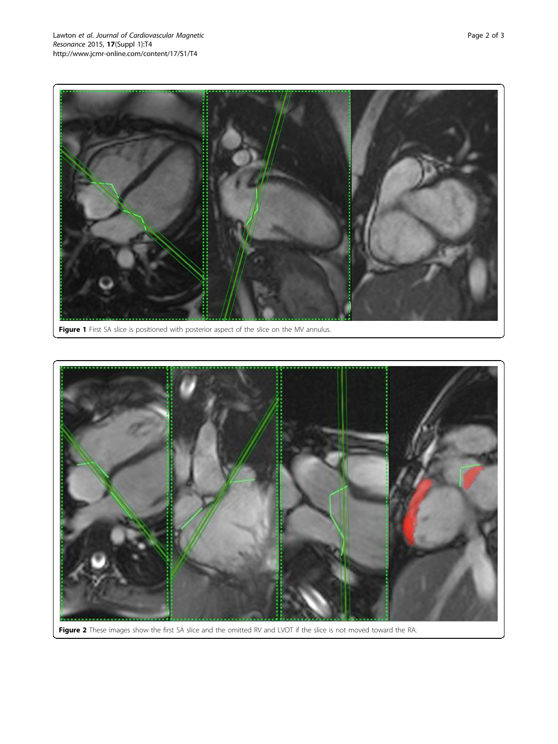<span id="page-1-0"></span>

Figure 1 First SA slice is positioned with posterior aspect of the slice on the MV annulus.



Figure 2 These images show the first SA slice and the omitted RV and LVOT if the slice is not moved toward the RA.